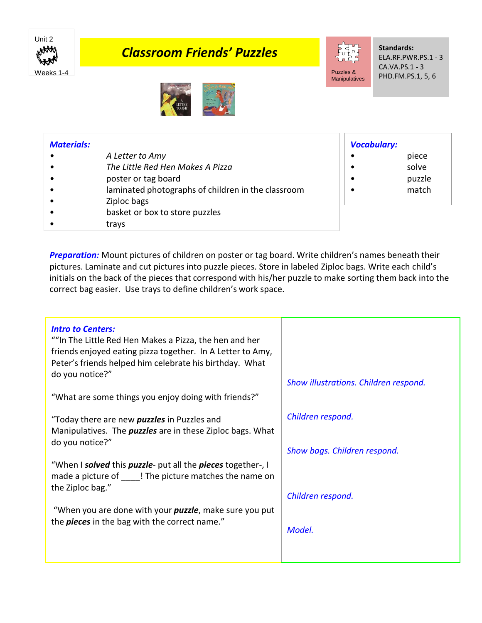

## *Classroom Friends' Puzzles*



*Vocabulary:*

• piece • solve

• match

**Standards:** ELA.RF.PWR.PS.1 - 3 CA.VA.PS.1 - 3 PHD.FM.PS.1, 5, 6

• puzzle



## *Materials:*

- *• A Letter to Amy*
- *• The Little Red Hen Makes A Pizza*
- *•* poster or tag board
- laminated photographs of children in the classroom
- Ziploc bags
- basket or box to store puzzles
- trays

*Preparation:* Mount pictures of children on poster or tag board. Write children's names beneath their pictures. Laminate and cut pictures into puzzle pieces. Store in labeled Ziploc bags. Write each child's initials on the back of the pieces that correspond with his/her puzzle to make sorting them back into the

correct bag easier. Use trays to define children's work space.

| <b>Intro to Centers:</b><br>""In The Little Red Hen Makes a Pizza, the hen and her<br>friends enjoyed eating pizza together. In A Letter to Amy,<br>Peter's friends helped him celebrate his birthday. What<br>do you notice?"<br>"What are some things you enjoy doing with friends?" | Show illustrations. Children respond. |
|----------------------------------------------------------------------------------------------------------------------------------------------------------------------------------------------------------------------------------------------------------------------------------------|---------------------------------------|
|                                                                                                                                                                                                                                                                                        |                                       |
| "Today there are new <i>puzzles</i> in Puzzles and<br>Manipulatives. The <i>puzzles</i> are in these Ziploc bags. What<br>do you notice?"                                                                                                                                              | Children respond.                     |
|                                                                                                                                                                                                                                                                                        | Show bags. Children respond.          |
| "When I solved this puzzle- put all the pieces together-, I<br>made a picture of<br>I The picture matches the name on<br>the Ziploc bag."                                                                                                                                              | Children respond.                     |
| "When you are done with your <i>puzzle</i> , make sure you put<br>the <i>pieces</i> in the bag with the correct name."                                                                                                                                                                 | Model.                                |
|                                                                                                                                                                                                                                                                                        |                                       |